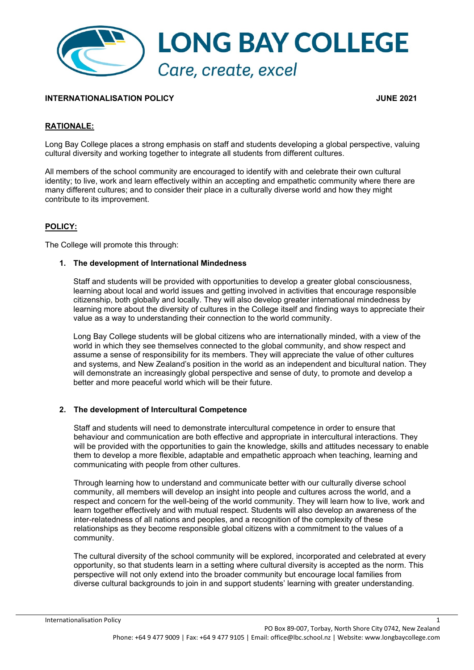

### **INTERNATIONALISATION POLICY JUNE 2021**

# **RATIONALE:**

Long Bay College places a strong emphasis on staff and students developing a global perspective, valuing cultural diversity and working together to integrate all students from different cultures.

All members of the school community are encouraged to identify with and celebrate their own cultural identity; to live, work and learn effectively within an accepting and empathetic community where there are many different cultures; and to consider their place in a culturally diverse world and how they might contribute to its improvement.

### **POLICY:**

The College will promote this through:

#### **1. The development of International Mindedness**

Staff and students will be provided with opportunities to develop a greater global consciousness, learning about local and world issues and getting involved in activities that encourage responsible citizenship, both globally and locally. They will also develop greater international mindedness by learning more about the diversity of cultures in the College itself and finding ways to appreciate their value as a way to understanding their connection to the world community.

Long Bay College students will be global citizens who are internationally minded, with a view of the world in which they see themselves connected to the global community, and show respect and assume a sense of responsibility for its members. They will appreciate the value of other cultures and systems, and New Zealand's position in the world as an independent and bicultural nation. They will demonstrate an increasingly global perspective and sense of duty, to promote and develop a better and more peaceful world which will be their future.

#### **2. The development of Intercultural Competence**

Staff and students will need to demonstrate intercultural competence in order to ensure that behaviour and communication are both effective and appropriate in intercultural interactions. They will be provided with the opportunities to gain the knowledge, skills and attitudes necessary to enable them to develop a more flexible, adaptable and empathetic approach when teaching, learning and communicating with people from other cultures.

Through learning how to understand and communicate better with our culturally diverse school community, all members will develop an insight into people and cultures across the world, and a respect and concern for the well-being of the world community. They will learn how to live, work and learn together effectively and with mutual respect. Students will also develop an awareness of the inter-relatedness of all nations and peoples, and a recognition of the complexity of these relationships as they become responsible global citizens with a commitment to the values of a community.

The cultural diversity of the school community will be explored, incorporated and celebrated at every opportunity, so that students learn in a setting where cultural diversity is accepted as the norm. This perspective will not only extend into the broader community but encourage local families from diverse cultural backgrounds to join in and support students' learning with greater understanding.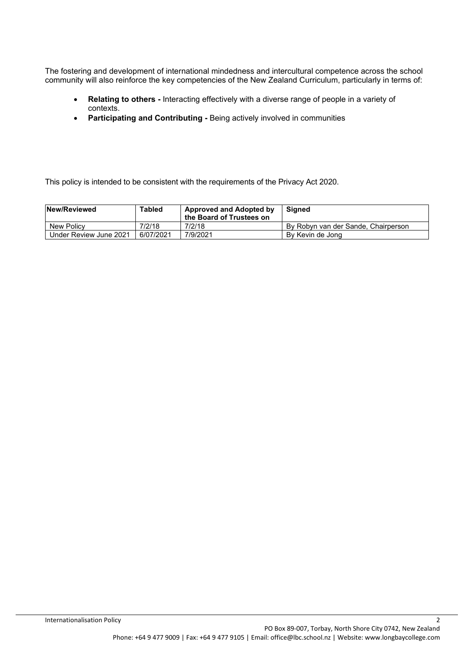The fostering and development of international mindedness and intercultural competence across the school community will also reinforce the key competencies of the New Zealand Curriculum, particularly in terms of:

- **Relating to others** Interacting effectively with a diverse range of people in a variety of contexts.
- **Participating and Contributing** Being actively involved in communities

This policy is intended to be consistent with the requirements of the Privacy Act 2020.

| New/Reviewed           | Tabled    | <b>Approved and Adopted by</b><br>the Board of Trustees on | Sianed                              |
|------------------------|-----------|------------------------------------------------------------|-------------------------------------|
| New Policy             | 7/2/18    | 7/2/18                                                     | By Robyn van der Sande, Chairperson |
| Under Review June 2021 | 6/07/2021 | 7/9/2021                                                   | By Kevin de Jong                    |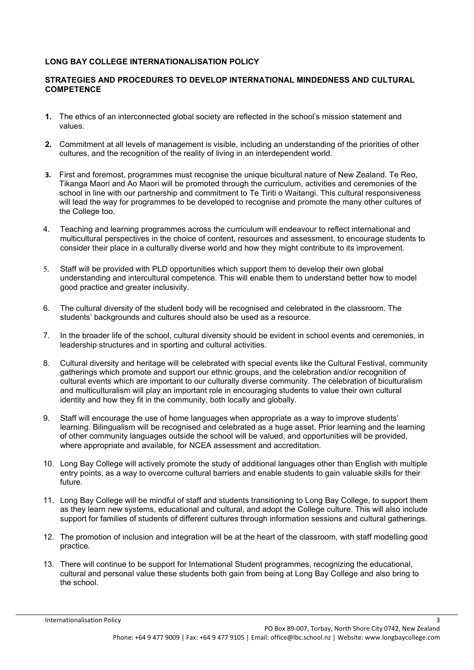# **LONG BAY COLLEGE INTERNATIONALISATION POLICY**

## **STRATEGIES AND PROCEDURES TO DEVELOP INTERNATIONAL MINDEDNESS AND CULTURAL COMPETENCE**

- **1.** The ethics of an interconnected global society are reflected in the school's mission statement and values.
- **2.** Commitment at all levels of management is visible, including an understanding of the priorities of other cultures, and the recognition of the reality of living in an interdependent world.
- **3.** First and foremost, programmes must recognise the unique bicultural nature of New Zealand. Te Reo, Tikanga Maori and Ao Maori will be promoted through the curriculum, activities and ceremonies of the school in line with our partnership and commitment to Te Tiriti o Waitangi. This cultural responsiveness will lead the way for programmes to be developed to recognise and promote the many other cultures of the College too.
- 4. Teaching and learning programmes across the curriculum will endeavour to reflect international and multicultural perspectives in the choice of content, resources and assessment, to encourage students to consider their place in a culturally diverse world and how they might contribute to its improvement.
- 5. Staff will be provided with PLD opportunities which support them to develop their own global understanding and intercultural competence. This will enable them to understand better how to model good practice and greater inclusivity.
- 6. The cultural diversity of the student body will be recognised and celebrated in the classroom. The students' backgrounds and cultures should also be used as a resource.
- 7. In the broader life of the school, cultural diversity should be evident in school events and ceremonies, in leadership structures and in sporting and cultural activities.
- 8. Cultural diversity and heritage will be celebrated with special events like the Cultural Festival, community gatherings which promote and support our ethnic groups, and the celebration and/or recognition of cultural events which are important to our culturally diverse community. The celebration of biculturalism and multiculturalism will play an important role in encouraging students to value their own cultural identity and how they fit in the community, both locally and globally.
- 9. Staff will encourage the use of home languages when appropriate as a way to improve students' learning. Bilingualism will be recognised and celebrated as a huge asset. Prior learning and the learning of other community languages outside the school will be valued, and opportunities will be provided, where appropriate and available, for NCEA assessment and accreditation.
- 10. Long Bay College will actively promote the study of additional languages other than English with multiple entry points, as a way to overcome cultural barriers and enable students to gain valuable skills for their future.
- 11. Long Bay College will be mindful of staff and students transitioning to Long Bay College, to support them as they learn new systems, educational and cultural, and adopt the College culture. This will also include support for families of students of different cultures through information sessions and cultural gatherings.
- 12. The promotion of inclusion and integration will be at the heart of the classroom, with staff modelling good practice.
- 13. There will continue to be support for International Student programmes, recognizing the educational, cultural and personal value these students both gain from being at Long Bay College and also bring to the school.

**Internationalisation Policy** 3